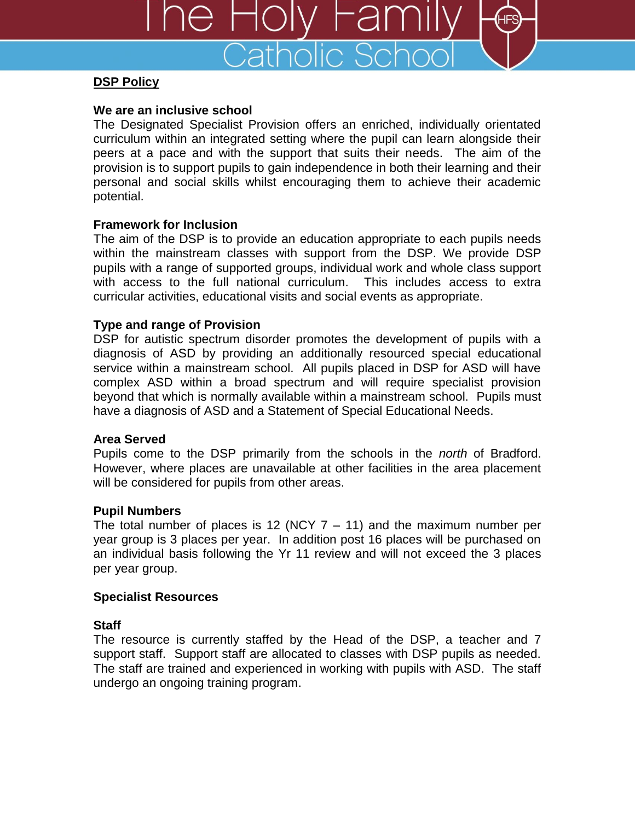

# **DSP Policy**

## **We are an inclusive school**

The Designated Specialist Provision offers an enriched, individually orientated curriculum within an integrated setting where the pupil can learn alongside their peers at a pace and with the support that suits their needs. The aim of the provision is to support pupils to gain independence in both their learning and their personal and social skills whilst encouraging them to achieve their academic potential.

# **Framework for Inclusion**

The aim of the DSP is to provide an education appropriate to each pupils needs within the mainstream classes with support from the DSP. We provide DSP pupils with a range of supported groups, individual work and whole class support with access to the full national curriculum. This includes access to extra curricular activities, educational visits and social events as appropriate.

# **Type and range of Provision**

DSP for autistic spectrum disorder promotes the development of pupils with a diagnosis of ASD by providing an additionally resourced special educational service within a mainstream school. All pupils placed in DSP for ASD will have complex ASD within a broad spectrum and will require specialist provision beyond that which is normally available within a mainstream school. Pupils must have a diagnosis of ASD and a Statement of Special Educational Needs.

## **Area Served**

Pupils come to the DSP primarily from the schools in the *north* of Bradford. However, where places are unavailable at other facilities in the area placement will be considered for pupils from other areas.

## **Pupil Numbers**

The total number of places is 12 (NCY  $7 - 11$ ) and the maximum number per year group is 3 places per year. In addition post 16 places will be purchased on an individual basis following the Yr 11 review and will not exceed the 3 places per year group.

# **Specialist Resources**

# **Staff**

The resource is currently staffed by the Head of the DSP, a teacher and 7 support staff. Support staff are allocated to classes with DSP pupils as needed. The staff are trained and experienced in working with pupils with ASD. The staff undergo an ongoing training program.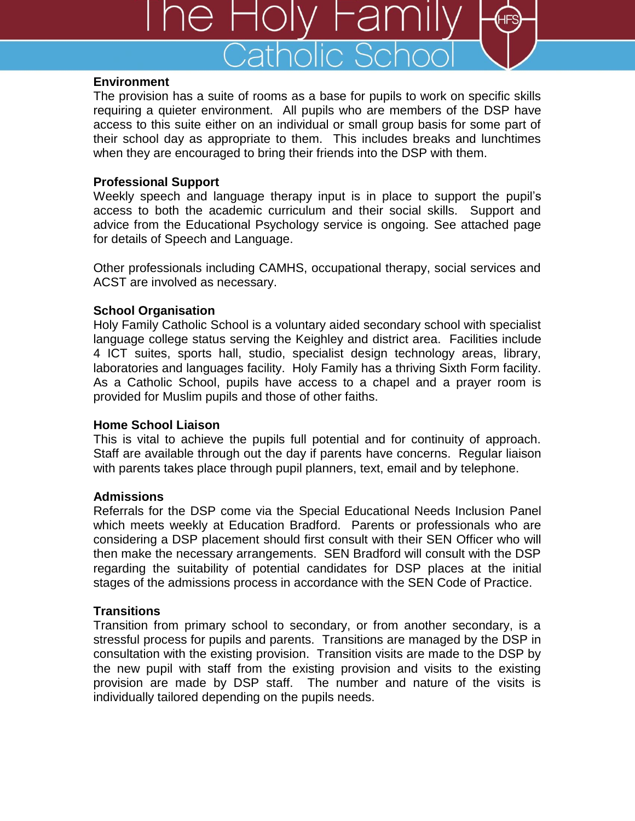

#### **Environment**

The provision has a suite of rooms as a base for pupils to work on specific skills requiring a quieter environment. All pupils who are members of the DSP have access to this suite either on an individual or small group basis for some part of their school day as appropriate to them. This includes breaks and lunchtimes when they are encouraged to bring their friends into the DSP with them.

## **Professional Support**

Weekly speech and language therapy input is in place to support the pupil's access to both the academic curriculum and their social skills. Support and advice from the Educational Psychology service is ongoing. See attached page for details of Speech and Language.

Other professionals including CAMHS, occupational therapy, social services and ACST are involved as necessary.

# **School Organisation**

Holy Family Catholic School is a voluntary aided secondary school with specialist language college status serving the Keighley and district area. Facilities include 4 ICT suites, sports hall, studio, specialist design technology areas, library, laboratories and languages facility. Holy Family has a thriving Sixth Form facility. As a Catholic School, pupils have access to a chapel and a prayer room is provided for Muslim pupils and those of other faiths.

## **Home School Liaison**

This is vital to achieve the pupils full potential and for continuity of approach. Staff are available through out the day if parents have concerns. Regular liaison with parents takes place through pupil planners, text, email and by telephone.

## **Admissions**

Referrals for the DSP come via the Special Educational Needs Inclusion Panel which meets weekly at Education Bradford. Parents or professionals who are considering a DSP placement should first consult with their SEN Officer who will then make the necessary arrangements. SEN Bradford will consult with the DSP regarding the suitability of potential candidates for DSP places at the initial stages of the admissions process in accordance with the SEN Code of Practice.

# **Transitions**

Transition from primary school to secondary, or from another secondary, is a stressful process for pupils and parents. Transitions are managed by the DSP in consultation with the existing provision. Transition visits are made to the DSP by the new pupil with staff from the existing provision and visits to the existing provision are made by DSP staff. The number and nature of the visits is individually tailored depending on the pupils needs.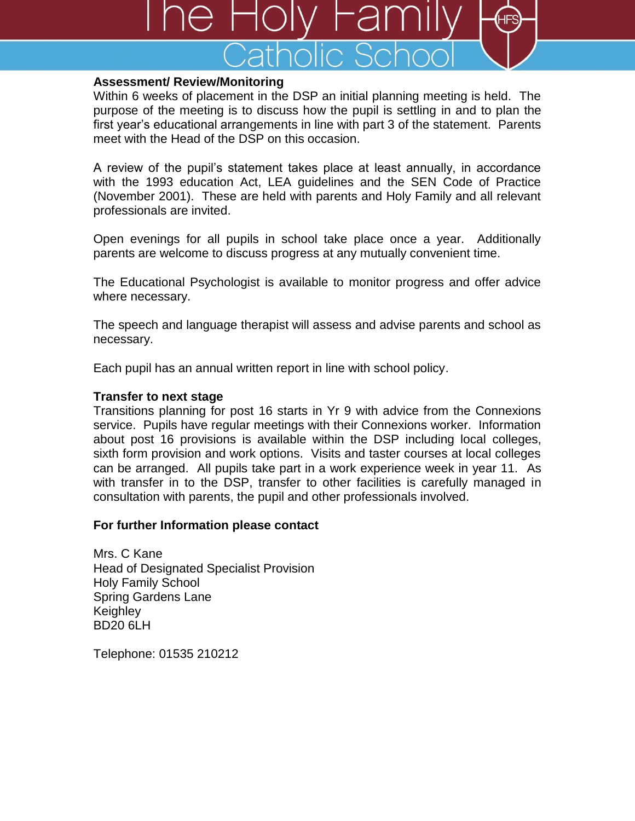

#### **Assessment/ Review/Monitoring**

Within 6 weeks of placement in the DSP an initial planning meeting is held. The purpose of the meeting is to discuss how the pupil is settling in and to plan the first year's educational arrangements in line with part 3 of the statement. Parents meet with the Head of the DSP on this occasion.

A review of the pupil's statement takes place at least annually, in accordance with the 1993 education Act, LEA guidelines and the SEN Code of Practice (November 2001). These are held with parents and Holy Family and all relevant professionals are invited.

Open evenings for all pupils in school take place once a year. Additionally parents are welcome to discuss progress at any mutually convenient time.

The Educational Psychologist is available to monitor progress and offer advice where necessary.

The speech and language therapist will assess and advise parents and school as necessary.

Each pupil has an annual written report in line with school policy.

#### **Transfer to next stage**

Transitions planning for post 16 starts in Yr 9 with advice from the Connexions service. Pupils have regular meetings with their Connexions worker. Information about post 16 provisions is available within the DSP including local colleges, sixth form provision and work options. Visits and taster courses at local colleges can be arranged. All pupils take part in a work experience week in year 11. As with transfer in to the DSP, transfer to other facilities is carefully managed in consultation with parents, the pupil and other professionals involved.

## **For further Information please contact**

Mrs. C Kane Head of Designated Specialist Provision Holy Family School Spring Gardens Lane Keighley BD20 6LH

Telephone: 01535 210212